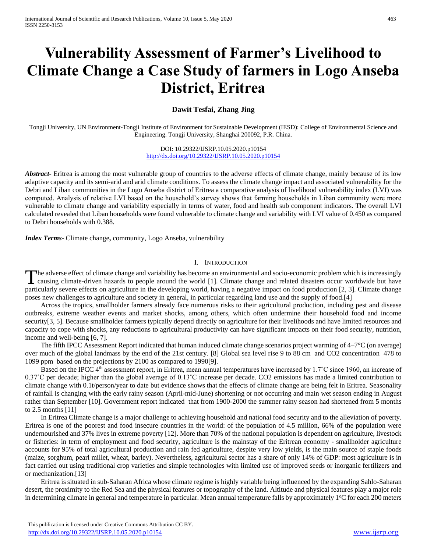# **Vulnerability Assessment of Farmer's Livelihood to Climate Change a Case Study of farmers in Logo Anseba District, Eritrea**

# **Dawit Tesfai, Zhang Jing**

Tongji University, UN Environment-Tongji Institute of Environment for Sustainable Development (IESD): College of Environmental Science and Engineering. Tongji University, Shanghai 200092, P.R. China.

## DOI: 10.29322/IJSRP.10.05.2020.p10154 <http://dx.doi.org/10.29322/IJSRP.10.05.2020.p10154>

*Abstract***-** Eritrea is among the most vulnerable group of countries to the adverse effects of climate change, mainly because of its low adaptive capacity and its semi-arid and arid climate conditions. To assess the climate change impact and associated vulnerability for the Debri and Liban communities in the Logo Anseba district of Eritrea a comparative analysis of livelihood vulnerability index (LVI) was computed. Analysis of relative LVI based on the household's survey shows that farming households in Liban community were more vulnerable to climate change and variability especially in terms of water, food and health sub component indicators. The overall LVI calculated revealed that Liban households were found vulnerable to climate change and variability with LVI value of 0.450 as compared to Debri households with 0.388.

*Index Terms*- Climate change**,** community, Logo Anseba, vulnerability

## I. INTRODUCTION

he adverse effect of climate change and variability has become an environmental and socio-economic problem which is increasingly The adverse effect of climate change and variability has become an environmental and socio-economic problem which is increasingly causing climate-driven hazards to people around the world [1]. Climate change and related di particularly severe effects on agriculture in the developing world, having a negative impact on food production [2, 3]. Climate change poses new challenges to agriculture and society in general, in particular regarding land use and the supply of food.[4]

 Across the tropics, smallholder farmers already face numerous risks to their agricultural production, including pest and disease outbreaks, extreme weather events and market shocks, among others, which often undermine their household food and income security[3, 5]. Because smallholder farmers typically depend directly on agriculture for their livelihoods and have limited resources and capacity to cope with shocks, any reductions to agricultural productivity can have significant impacts on their food security, nutrition, income and well-being [6, 7].

 The fifth IPCC Assessment Report indicated that human induced climate change scenarios project warming of 4–7°C (on average) over much of the global landmass by the end of the 21st century. [8] Global sea level rise 9 to 88 cm and CO2 concentration 478 to 1099 ppm based on the projections by 2100 as compared to 1990[9].

Based on the IPCC 4<sup>th</sup> assessment report, in Eritrea, mean annual temperatures have increased by 1.7<sup>°</sup>C since 1960, an increase of 0.37˚C per decade; higher than the global average of 0.13˚C increase per decade. CO2 emissions has made a limited contribution to climate change with 0.1t/person/year to date but evidence shows that the effects of climate change are being felt in Eritrea. Seasonality of rainfall is changing with the early rainy season (April-mid-June) shortening or not occurring and main wet season ending in August rather than September [10]. Government report indicated that from 1900-2000 the summer rainy season had shortened from 5 months to 2.5 months [11]

 In Eritrea Climate change is a major challenge to achieving household and national food security and to the alleviation of poverty. Eritrea is one of the poorest and food insecure countries in the world: of the population of 4.5 million, 66% of the population were undernourished and 37% lives in extreme poverty [12]. More than 70% of the national population is dependent on agriculture, livestock or fisheries: in term of employment and food security, agriculture is the mainstay of the Eritrean economy - smallholder agriculture accounts for 95% of total agricultural production and rain fed agriculture, despite very low yields, is the main source of staple foods (maize, sorghum, pearl millet, wheat, barley). Nevertheless, agricultural sector has a share of only 14% of GDP: most agriculture is in fact carried out using traditional crop varieties and simple technologies with limited use of improved seeds or inorganic fertilizers and or mechanization.[13]

 Eritrea is situated in sub-Saharan Africa whose climate regime is highly variable being influenced by the expanding Sahlo-Saharan desert, the proximity to the Red Sea and the physical features or topography of the land. Altitude and physical features play a major role in determining climate in general and temperature in particular. Mean annual temperature falls by approximately  $1^{\circ}C$  for each 200 meters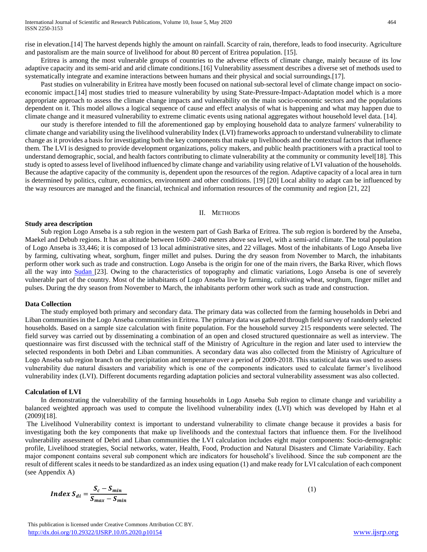rise in elevation.[14] The harvest depends highly the amount on rainfall. Scarcity of rain, therefore, leads to food insecurity. Agriculture and pastoralism are the main source of livelihood for about 80 percent of Eritrea population. [15].

 Eritrea is among the most vulnerable groups of countries to the adverse effects of climate change, mainly because of its low adaptive capacity and its semi-arid and arid climate conditions.[16] Vulnerability assessment describes a diverse set of methods used to systematically integrate and examine interactions between humans and their physical and social surroundings.[17].

 Past studies on vulnerability in Eritrea have mostly been focused on national sub-sectoral level of climate change impact on socioeconomic impact.[14] most studies tried to measure vulnerability by using State-Pressure-Impact-Adaptation model which is a more appropriate approach to assess the climate change impacts and vulnerability on the main socio-economic sectors and the populations dependent on it. This model allows a logical sequence of cause and effect analysis of what is happening and what may happen due to climate change and it measured vulnerability to extreme climatic events using national aggregates without household level data. [14].

 our study is therefore intended to fill the aforementioned gap by employing household data to analyze farmers' vulnerability to climate change and variability using the livelihood vulnerability Index (LVI) frameworks approach to understand vulnerability to climate change as it provides a basis for investigating both the key components that make up livelihoods and the contextual factors that influence them. The LVI is designed to provide development organizations, policy makers, and public health practitioners with a practical tool to understand demographic, social, and health factors contributing to climate vulnerability at the community or community level[18]. This study is opted to assess level of livelihood influenced by climate change and variability using relative of LVI valuation of the households. Because the adaptive capacity of the community is, dependent upon the resources of the region. Adaptive capacity of a local area in turn is determined by politics, culture, economics, environment and other conditions. [19] [20] Local ability to adapt can be influenced by the way resources are managed and the financial, technical and information resources of the community and region [21, 22]

#### II. METHODS

#### **Study area description**

 Sub region Logo Anseba is a sub region in the western part of Gash Barka of Eritrea. The sub region is bordered by the Anseba, Maekel and Debub regions. It has an altitude between 1600–2400 meters above sea level, with a semi-arid climate. The total population of Logo Anseba is 33,446; it is composed of 13 local administrative sites, and 22 villages. Most of the inhabitants of Logo Anseba live by farming, cultivating wheat, sorghum, finger millet and pulses. During the dry season from November to March, the inhabitants perform other work such as trade and construction. Logo Anseba is the origin for one of the main rivers, the Barka River, which flows all the way into [Sudan](http://en.wikipedia.org/wiki/Sudan) [23]. Owing to the characteristics of topography and climatic variations, Logo Anseba is one of severely vulnerable part of the country. Most of the inhabitants of Logo Anseba live by farming, cultivating wheat, sorghum, finger millet and pulses. During the dry season from November to March, the inhabitants perform other work such as trade and construction.

#### **Data Collection**

 The study employed both primary and secondary data. The primary data was collected from the farming households in Debri and Liban communities in the Logo Anseba communities in Eritrea. The primary data was gathered through field survey of randomly selected households. Based on a sample size calculation with finite population. For the household survey 215 respondents were selected. The field survey was carried out by disseminating a combination of an open and closed structured questionnaire as well as interview. The questionnaire was first discussed with the technical staff of the Ministry of Agriculture in the region and later used to interview the selected respondents in both Debri and Liban communities. A secondary data was also collected from the Ministry of Agriculture of Logo Anseba sub region branch on the precipitation and temperature over a period of 2009-2018. This statistical data was used to assess vulnerability due natural disasters and variability which is one of the components indicators used to calculate farmer's livelihood vulnerability index (LVI). Different documents regarding adaptation policies and sectoral vulnerability assessment was also collected.

### **Calculation of LVI**

 In demonstrating the vulnerability of the farming households in Logo Anseba Sub region to climate change and variability a balanced weighted approach was used to compute the livelihood vulnerability index (LVI) which was developed by Hahn et al (2009)[18].

The Livelihood Vulnerability context is important to understand vulnerability to climate change because it provides a basis for investigating both the key components that make up livelihoods and the contextual factors that influence them. For the livelihood vulnerability assessment of Debri and Liban communities the LVI calculation includes eight major components: Socio-demographic profile, Livelihood strategies, Social networks, water, Health, Food, Production and Natural Disasters and Climate Variability. Each major component contains several sub component which are indicators for household's livelihood. Since the sub component are the result of different scales it needs to be standardized as an index using equation (1) and make ready for LVI calculation of each component (see Appendix A)

$$
Index S_{di} = \frac{S_c - S_{min}}{S_{max} - S_{min}} \tag{1}
$$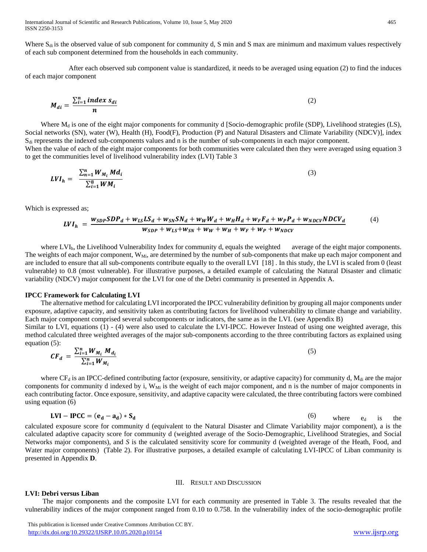International Journal of Scientific and Research Publications, Volume 10, Issue 5, May 2020 465 ISSN 2250-3153

Where  $S_{di}$  is the observed value of sub component for community d, S min and S max are minimum and maximum values respectively of each sub component determined from the households in each community.

 After each observed sub component value is standardized, it needs to be averaged using equation (2) to find the induces of each major component

$$
M_{di} = \frac{\sum_{i=1}^{n} index s_{di}}{n}
$$
 (2)

Where  $M_d$  is one of the eight major components for community d [Socio-demographic profile (SDP), Livelihood strategies (LS), Social networks (SN), water (W), Health (H), Food(F), Production (P) and Natural Disasters and Climate Variability (NDCV)], index  $S_{di}$  represents the indexed sub-components values and n is the number of sub-components in each major component. When the value of each of the eight major components for both communities were calculated then they were averaged using equation 3

to get the communities level of livelihood vulnerability index (LVI) Table 3

$$
LVI_h = \frac{\sum_{n=1}^{n} W_{M_i} Md_i}{\sum_{i=1}^{8} WM_i}
$$
\n(3)

Which is expressed as;

$$
LVI_h = \frac{w_{SDP}SDP_d + w_{LS}LS_d + w_{SN}SN_d + w_WW_d + w_HH_d + w_FF_d + w_PP_d + w_{NDCV}NDCV_d}{w_{SDP} + w_{LS} + w_{SN} + w_W + w_H + w_F + w_P + w_{NDCV}}
$$
(4)

where  $LVI<sub>h</sub>$ , the Livelihood Vulnerability Index for community d, equals the weighted average of the eight major components. The weights of each major component, W<sub>Mi</sub>, are determined by the number of sub-components that make up each major component and are included to ensure that all sub-components contribute equally to the overall LVI [18] . In this study, the LVI is scaled from 0 (least vulnerable) to 0.8 (most vulnerable). For illustrative purposes, a detailed example of calculating the Natural Disaster and climatic variability (NDCV) major component for the LVI for one of the Debri community is presented in Appendix A.

## **IPCC Framework for Calculating LVI**

 The alternative method for calculating LVI incorporated the IPCC vulnerability definition by grouping all major components under exposure, adaptive capacity, and sensitivity taken as contributing factors for livelihood vulnerability to climate change and variability. Each major component comprised several subcomponents or indicators, the same as in the LVI. (see Appendix B) Similar to LVI, equations (1) - (4) were also used to calculate the LVI-IPCC. However Instead of using one weighted average, this

method calculated three weighted averages of the major sub-components according to the three contributing factors as explained using equation (5):

$$
CF_d = \frac{\sum_{i=1}^{n} W_{M_i} M_{d_i}}{\sum_{i=1}^{n} W_{M_i}}
$$
(5)

where  $CF_d$  is an IPCC-defined contributing factor (exposure, sensitivity, or adaptive capacity) for community d,  $M_{di}$  are the major components for community d indexed by i,  $W_{Mi}$  is the weight of each major component, and n is the number of major components in each contributing factor. Once exposure, sensitivity, and adaptive capacity were calculated, the three contributing factors were combined using equation (6)

$$
LVI - IPCC = (e_d - a_d) * S_d
$$
 (6) where  $e_d$  is the

calculated exposure score for community d (equivalent to the Natural Disaster and Climate Variability major component), a is the calculated adaptive capacity score for community d (weighted average of the Socio-Demographic, Livelihood Strategies, and Social Networks major components), and *S* is the calculated sensitivity score for community d (weighted average of the Heath, Food, and Water major components) (Table 2). For illustrative purposes, a detailed example of calculating LVI-IPCC of Liban community is presented in Appendix **D**.

#### III. RESULT AND DISCUSSION

## **LVI: Debri versus Liban**

 The major components and the composite LVI for each community are presented in Table 3. The results revealed that the vulnerability indices of the major component ranged from 0.10 to 0.758. In the vulnerability index of the socio-demographic profile

 This publication is licensed under Creative Commons Attribution CC BY. <http://dx.doi.org/10.29322/IJSRP.10.05.2020.p10154> [www.ijsrp.org](http://ijsrp.org/)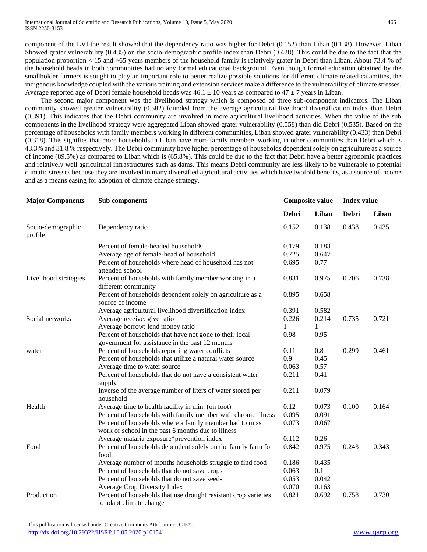component of the LVI the result showed that the dependency ratio was higher for Debri (0.152) than Liban (0.138). However, Liban Showed grater vulnerability (0.435) on the socio-demographic profile index than Debri (0.428). This could be due to the fact that the population proportion < 15 and >65 years members of the household family is relatively grater in Debri than Liban. About 73.4 % of the household heads in both communities had no any formal educational background. Even though formal education obtained by the smallholder farmers is sought to play an important role to better realize possible solutions for different climate related calamities, the indigenous knowledge coupled with the various training and extension services make a difference to the vulnerability of climate stresses. Average reported age of Debri female household heads was  $46.1 \pm 10$  years as compared to  $47 \pm 7$  years in Liban.

 The second major component was the livelihood strategy which is composed of three sub-component indicators. The Liban community showed greater vulnerability (0.582) founded from the average agricultural livelihood diversification index than Debri (0.391). This indicates that the Debri community are involved in more agricultural livelihood activities. When the value of the sub components in the livelihood strategy were aggregated Liban showed grater vulnerability (0.558) than did Debri (0.535). Based on the percentage of households with family members working in different communities, Liban showed grater vulnerability (0.433) than Debri (0.318). This signifies that more households in Liban have more family members working in other communities than Debri which is 43.3% and 31.8 % respectively. The Debri community have higher percentage of households dependent solely on agriculture as a source of income (89.5%) as compared to Liban which is (65.8%). This could be due to the fact that Debri have a better agronomic practices and relatively well agricultural infrastructures such as dams. This means Debri community are less likely to be vulnerable to potential climatic stresses because they are involved in many diversified agricultural activities which have twofold benefits, as a source of income and as a means easing for adoption of climate change strategy.

| <b>Major Components</b>      | Sub components                                                                                             |              | <b>Composite value</b> | <b>Index value</b> |       |
|------------------------------|------------------------------------------------------------------------------------------------------------|--------------|------------------------|--------------------|-------|
|                              |                                                                                                            | <b>Debri</b> | Liban                  | <b>Debri</b>       | Liban |
| Socio-demographic<br>profile | Dependency ratio                                                                                           | 0.152        | 0.138                  | 0.438              | 0.435 |
|                              | Percent of female-headed households                                                                        | 0.179        | 0.183                  |                    |       |
|                              | Average age of female-head of household                                                                    | 0.725        | 0.647                  |                    |       |
|                              | Percent of households where head of household has not<br>attended school                                   | 0.695        | 0.77                   |                    |       |
| Livelihood strategies        | Percent of households with family member working in a<br>different community                               | 0.831        | 0.975                  | 0.706              | 0.738 |
|                              | Percent of households dependent solely on agriculture as a<br>source of income                             | 0.895        | 0.658                  |                    |       |
|                              | Average agricultural livelihood diversification index                                                      | 0.391        | 0.582                  |                    |       |
| Social networks              | Average receive: give ratio                                                                                | 0.226        | 0.214                  | 0.735              | 0.721 |
|                              | Average borrow: lend money ratio                                                                           | 1            | 1                      |                    |       |
|                              | Percent of households that have not gone to their local<br>government for assistance in the past 12 months | 0.98         | 0.95                   |                    |       |
| water                        | Percent of households reporting water conflicts                                                            | 0.11         | 0.8                    | 0.299              | 0.461 |
|                              | Percent of households that utilize a natural water source                                                  | 0.9          | 0.45                   |                    |       |
|                              | Average time to water source                                                                               | 0.063        | 0.57                   |                    |       |
|                              | Percent of households that do not have a consistent water<br>supply                                        | 0.211        | 0.41                   |                    |       |
|                              | Inverse of the average number of liters of water stored per<br>household                                   | 0.211        | 0.079                  |                    |       |
| Health                       | Average time to health facility in min. (on foot)                                                          | 0.12         | 0.073                  | 0.100              | 0.164 |
|                              | Percent of households with family member with chronic illness                                              | 0.095        | 0.091                  |                    |       |
|                              | Percent of households where a family member had to miss                                                    | 0.073        | 0.067                  |                    |       |
|                              | work or school in the past 6 months due to illness                                                         |              |                        |                    |       |
|                              | Average malaria exposure*prevention index                                                                  | 0.112        | 0.26                   |                    |       |
| Food                         | Percent of households dependent solely on the family farm for<br>food                                      | 0.842        | 0.975                  | 0.243              | 0.343 |
|                              | Average number of months households struggle to find food                                                  | 0.186        | 0.435                  |                    |       |
|                              | Percent of households that do not save crops                                                               | 0.063        | 0.1                    |                    |       |
|                              | Percent of households that do not save seeds                                                               | 0.053        | 0.042                  |                    |       |
|                              | Average Crop Diversity Index                                                                               | 0.070        | 0.163                  |                    |       |
| Production                   | Percent of households that use drought resistant crop varieties<br>to adapt climate change                 | 0.821        | 0.692                  | 0.758              | 0.730 |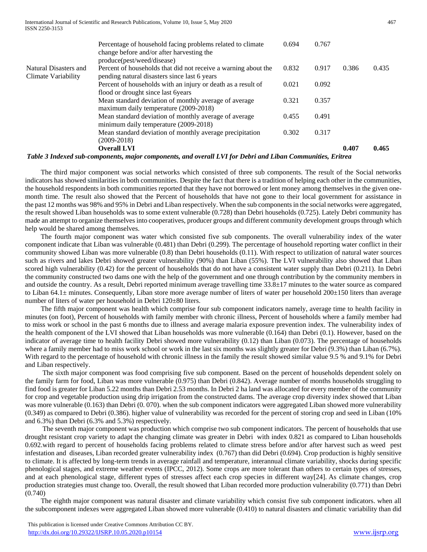|                       | <b>Overall LVI</b><br>$\mathbf{H}$ <b>TTP</b> $\mathbf{r}$ $\mathbf{n}$ $\mathbf{r}$ $\mathbf{r}$       |       |       | 0.407 | 0.465 |
|-----------------------|---------------------------------------------------------------------------------------------------------|-------|-------|-------|-------|
|                       | $(2009 - 2018)$                                                                                         |       |       |       |       |
|                       | Mean standard deviation of monthly average precipitation                                                | 0.302 | 0.317 |       |       |
|                       | minimum daily temperature (2009-2018)                                                                   |       |       |       |       |
|                       | Mean standard deviation of monthly average of average                                                   | 0.455 | 0.491 |       |       |
|                       | maximum daily temperature (2009-2018)                                                                   |       |       |       |       |
|                       | Mean standard deviation of monthly average of average                                                   | 0.321 | 0.357 |       |       |
|                       | flood or drought since last 6 years                                                                     |       |       |       |       |
|                       | Percent of households with an injury or death as a result of                                            |       | 0.092 |       |       |
| Climate Variability   | pending natural disasters since last 6 years                                                            |       |       |       |       |
| Natural Disasters and | Percent of households that did not receive a warning about the                                          | 0.832 | 0.917 | 0.386 | 0.435 |
|                       | produce(pest/weed/disease)                                                                              |       |       |       |       |
|                       | Percentage of household facing problems related to climate<br>change before and/or after harvesting the | 0.694 | 0.767 |       |       |
|                       |                                                                                                         |       |       |       |       |

*Table 3 Indexed sub-components, major components, and overall LVI for Debri and Liban Communities, Eritrea*

 The third major component was social networks which consisted of three sub components. The result of the Social networks indicators has showed similarities in both communities. Despite the fact that there is a tradition of helping each other in the communities, the household respondents in both communities reported that they have not borrowed or lent money among themselves in the given onemonth time. The result also showed that the Percent of households that have not gone to their local government for assistance in the past 12 months was 98% and 95% in Debri and Liban respectively. When the sub components in the social networks were aggregated, the result showed Liban households was to some extent vulnerable (0.728) than Debri households (0.725). Lately Debri community has made an attempt to organize themselves into cooperatives, producer groups and different community development groups through which help would be shared among themselves.

 The fourth major component was water which consisted five sub components. The overall vulnerability index of the water component indicate that Liban was vulnerable (0.481) than Debri (0.299). The percentage of household reporting water conflict in their community showed Liban was more vulnerable (0.8) than Debri households (0.11). With respect to utilization of natural water sources such as rivers and lakes Debri showed greater vulnerability (90%) than Liban (55%). The LVI vulnerability also showed that Liban scored high vulnerability (0.42) for the percent of households that do not have a consistent water supply than Debri (0.211). In Debri the community constructed two dams one with the help of the government and one through contribution by the community members in and outside the country. As a result, Debri reported minimum average travelling time 33.8±17 minutes to the water source as compared to Liban 64.1 $\pm$  minutes. Consequently, Liban store more average number of liters of water per household 200 $\pm$ 150 liters than average number of liters of water per household in Debri 120±80 liters.

 The fifth major component was health which comprise four sub component indicators namely, average time to health facility in minutes (on foot), Percent of households with family member with chronic illness, Percent of households where a family member had to miss work or school in the past 6 months due to illness and average malaria exposure prevention index. The vulnerability index of the health component of the LVI showed that Liban households was more vulnerable (0.164) than Debri (0.1). However, based on the indicator of average time to health facility Debri showed more vulnerability (0.12) than Liban (0.073). The percentage of households where a family member had to miss work school or work in the last six months was slightly greater for Debri (9.3%) than Liban (6.7%). With regard to the percentage of household with chronic illness in the family the result showed similar value 9.5 % and 9.1% for Debri and Liban respectively.

 The sixth major component was food comprising five sub component. Based on the percent of households dependent solely on the family farm for food, Liban was more vulnerable (0.975) than Debri (0.842). Average number of months households struggling to find food is greater for Liban 5.22 months than Debri 2.53 months. In Debri 2 ha land was allocated for every member of the community for crop and vegetable production using drip irrigation from the constructed dams. The average crop diversity index showed that Liban was more vulnerable (0.163) than Debri (0.070). when the sub component indicators were aggregated Liban showed more vulnerability (0.349) as compared to Debri (0.386). higher value of vulnerability was recorded for the percent of storing crop and seed in Liban (10% and 6.3%) than Debri (6.3% and 5.3%) respectively.

 The seventh major component was production which comprise two sub component indicators. The percent of households that use drought resistant crop variety to adapt the changing climate was greater in Debri with index 0.821 as compared to Liban households 0.692.with regard to percent of households facing problems related to climate stress before and/or after harvest such as weed pest infestation and diseases, Liban recorded greater vulnerability index (0.767) than did Debri (0.694). Crop production is highly sensitive to climate. It is affected by long-term trends in average rainfall and temperature, interannual climate variability, shocks during specific phenological stages, and extreme weather events (IPCC, 2012). Some crops are more tolerant than others to certain types of stresses, and at each phenological stage, different types of stresses affect each crop species in different way[24]. As climate changes, crop production strategies must change too. Overall, the result showed that Liban recorded more production vulnerability (0.771) than Debri (0.740)

 The eighth major component was natural disaster and climate variability which consist five sub component indicators. when all the subcomponent indexes were aggregated Liban showed more vulnerable (0.410) to natural disasters and climatic variability than did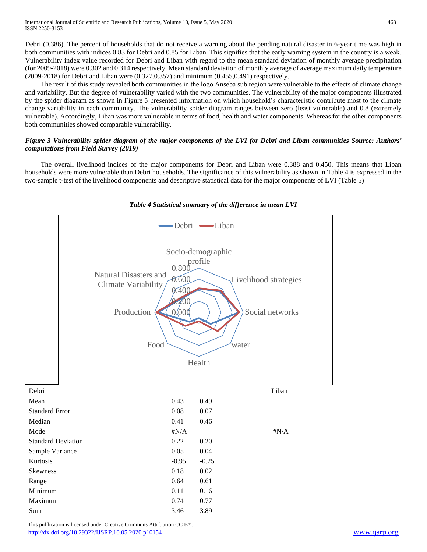Debri (0.386). The percent of households that do not receive a warning about the pending natural disaster in 6-year time was high in both communities with indices 0.83 for Debri and 0.85 for Liban. This signifies that the early warning system in the country is a weak. Vulnerability index value recorded for Debri and Liban with regard to the mean standard deviation of monthly average precipitation (for 2009-2018) were 0.302 and 0.314 respectively. Mean standard deviation of monthly average of average maximum daily temperature (2009-2018) for Debri and Liban were (0.327,0.357) and minimum (0.455,0.491) respectively.

 The result of this study revealed both communities in the logo Anseba sub region were vulnerable to the effects of climate change and variability. But the degree of vulnerability varied with the two communities. The vulnerability of the major components illustrated by the spider diagram as shown in Figure 3 presented information on which household's characteristic contribute most to the climate change variability in each community. The vulnerability spider diagram ranges between zero (least vulnerable) and 0.8 (extremely vulnerable). Accordingly, Liban was more vulnerable in terms of food, health and water components. Whereas for the other components both communities showed comparable vulnerability.

# *Figure 3 Vulnerability spider diagram of the major components of the LVI for Debri and Liban communities Source: Authors' computations from Field Survey (2019)*

 The overall livelihood indices of the major components for Debri and Liban were 0.388 and 0.450. This means that Liban households were more vulnerable than Debri households. The significance of this vulnerability as shown in Table 4 is expressed in the two-sample t*-*test of the livelihood components and descriptive statistical data for the major components of LVI (Table 5)



# *Table 4 Statistical summary of the difference in mean LVI*

 This publication is licensed under Creative Commons Attribution CC BY. <http://dx.doi.org/10.29322/IJSRP.10.05.2020.p10154> [www.ijsrp.org](http://ijsrp.org/)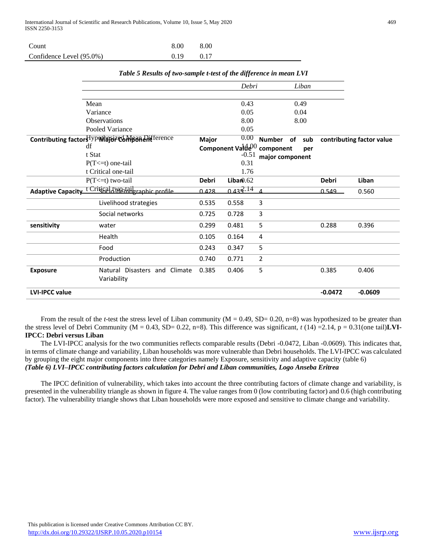| Count                    | 8.00 | 8.00 |
|--------------------------|------|------|
| Confidence Level (95.0%) | 0.19 | 0.17 |

|                       |                                                               |              | Debri                       |                 | Liban     |              |                           |
|-----------------------|---------------------------------------------------------------|--------------|-----------------------------|-----------------|-----------|--------------|---------------------------|
|                       |                                                               |              |                             |                 |           |              |                           |
|                       | Mean                                                          |              | 0.43                        |                 | 0.49      |              |                           |
|                       | Variance                                                      |              | 0.05                        |                 | 0.04      |              |                           |
|                       | <b>Observations</b>                                           |              | 8.00                        |                 | 8.00      |              |                           |
|                       | Pooled Variance                                               |              | 0.05                        |                 |           |              |                           |
|                       | Contributing factors ypoth avec Mean Artference               | Major        | 0.00                        | Number          | of<br>sub |              | contributing factor value |
|                       | df                                                            |              | Component Val $\theta^{00}$ | component       | per       |              |                           |
|                       | t Stat                                                        |              | $-0.51$                     | major component |           |              |                           |
|                       | $P(T \le t)$ one-tail                                         |              | 0.31                        |                 |           |              |                           |
|                       | t Critical one-tail                                           |              | 1.76                        |                 |           |              |                           |
|                       | $P(T \le t)$ two-tail                                         | <b>Debri</b> | Liban0.62                   |                 |           | <b>Debri</b> | Liban                     |
|                       | Adaptive Capacity <sup>t Crig</sup> 681d Werkbaraphic profile | 0.428        | 0.43 $\frac{2.14}{ }$       |                 |           | 0.549        | 0.560                     |
|                       | Livelihood strategies                                         | 0.535        | 0.558                       | 3               |           |              |                           |
|                       | Social networks                                               | 0.725        | 0.728                       | 3               |           |              |                           |
| sensitivity           | water                                                         | 0.299        | 0.481                       | 5               |           | 0.288        | 0.396                     |
|                       | Health                                                        | 0.105        | 0.164                       | 4               |           |              |                           |
|                       | Food                                                          | 0.243        | 0.347                       | 5               |           |              |                           |
|                       | Production                                                    | 0.740        | 0.771                       | $\overline{2}$  |           |              |                           |
| <b>Exposure</b>       | Natural Disasters and Climate<br>Variability                  | 0.385        | 0.406                       | 5               |           | 0.385        | 0.406                     |
| <b>LVI-IPCC value</b> |                                                               |              |                             |                 |           | $-0.0472$    | $-0.0609$                 |

*Table 5 Results of two-sample t-test of the difference in mean LVI*

From the result of the *t*-test the stress level of Liban community ( $M = 0.49$ , SD= 0.20, n=8) was hypothesized to be greater than the stress level of Debri Community ( $M = 0.43$ , SD= 0.22, n=8). This difference was significant,  $t(14) = 2.14$ ,  $p = 0.31$ (one tail)**LVI**-**IPCC: Debri versus Liban** 

 The LVI-IPCC analysis for the two communities reflects comparable results (Debri -0.0472, Liban -0.0609). This indicates that, in terms of climate change and variability, Liban households was more vulnerable than Debri households. The LVI-IPCC was calculated by grouping the eight major components into three categories namely Exposure, sensitivity and adaptive capacity (table 6) *(Table 6) LVI–IPCC contributing factors calculation for Debri and Liban communities, Logo Anseba Eritrea*

 The IPCC definition of vulnerability, which takes into account the three contributing factors of climate change and variability, is presented in the vulnerability triangle as shown in figure 4. The value ranges from 0 (low contributing factor) and 0.6 (high contributing factor). The vulnerability triangle shows that Liban households were more exposed and sensitive to climate change and variability.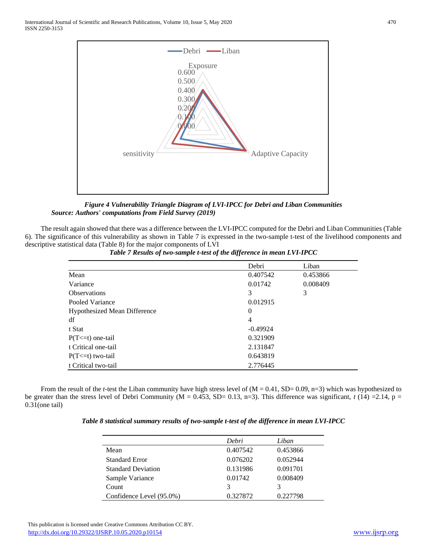

*Figure 4 Vulnerability Triangle Diagram of LVI-IPCC for Debri and Liban Communities Source: Authors' computations from Field Survey (2019)*

 The result again showed that there was a difference between the LVI-IPCC computed for the Debri and Liban Communities (Table 6). The significance of this vulnerability as shown in Table 7 is expressed in the two-sample t*-*test of the livelihood components and descriptive statistical data (Table 8) for the major components of LVI

|                                     | Debri          | Liban    |
|-------------------------------------|----------------|----------|
| Mean                                | 0.407542       | 0.453866 |
| Variance                            | 0.01742        | 0.008409 |
| <b>Observations</b>                 | 3              | 3        |
| Pooled Variance                     | 0.012915       |          |
| <b>Hypothesized Mean Difference</b> | $\Omega$       |          |
| df                                  | $\overline{4}$ |          |
| t Stat                              | $-0.49924$     |          |
| $P(T \le t)$ one-tail               | 0.321909       |          |
| t Critical one-tail                 | 2.131847       |          |
| $P(T \le t)$ two-tail               | 0.643819       |          |
| t Critical two-tail                 | 2.776445       |          |

*Table 7 Results of two-sample t-test of the difference in mean LVI-IPCC*

From the result of the *t*-test the Liban community have high stress level of (M = 0.41, SD= 0.09, n=3) which was hypothesized to be greater than the stress level of Debri Community ( $M = 0.453$ , SD= 0.13, n=3). This difference was significant,  $t(14) = 2.14$ , p = 0.31(one tail)

| Table 8 statistical summary results of two-sample t-test of the difference in mean LVI-IPCC |  |  |
|---------------------------------------------------------------------------------------------|--|--|
|                                                                                             |  |  |

|                           | Debri    | Liban    |
|---------------------------|----------|----------|
| Mean                      | 0.407542 | 0.453866 |
| <b>Standard Error</b>     | 0.076202 | 0.052944 |
| <b>Standard Deviation</b> | 0.131986 | 0.091701 |
| Sample Variance           | 0.01742  | 0.008409 |
| Count                     | 3        | 3        |
| Confidence Level (95.0%)  | 0.327872 | 0.227798 |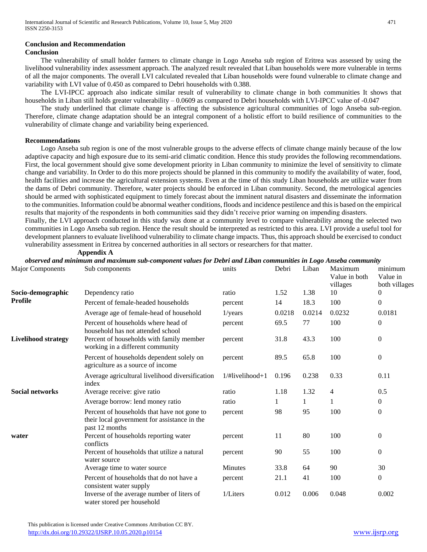## **Conclusion and Recommendation**

## **Conclusion**

 The vulnerability of small holder farmers to climate change in Logo Anseba sub region of Eritrea was assessed by using the livelihood vulnerability index assessment approach. The analyzed result revealed that Liban households were more vulnerable in terms of all the major components. The overall LVI calculated revealed that Liban households were found vulnerable to climate change and variability with LVI value of 0.450 as compared to Debri households with 0.388.

 The LVI-IPCC approach also indicate similar result of vulnerability to climate change in both communities It shows that households in Liban still holds greater vulnerability – 0.0609 as compared to Debri households with LVI-IPCC value of -0.047

 The study underlined that climate change is affecting the subsistence agricultural communities of logo Anseba sub-region. Therefore, climate change adaptation should be an integral component of a holistic effort to build resilience of communities to the vulnerability of climate change and variability being experienced.

## **Recommendations**

 Logo Anseba sub region is one of the most vulnerable groups to the adverse effects of climate change mainly because of the low adaptive capacity and high exposure due to its semi-arid climatic condition. Hence this study provides the following recommendations. First, the local government should give some development priority in Liban community to minimize the level of sensitivity to climate change and variability. In Order to do this more projects should be planned in this community to modify the availability of water, food, health facilities and increase the agricultural extension systems. Even at the time of this study Liban households are utilize water from the dams of Debri community. Therefore, water projects should be enforced in Liban community. Second, the metrological agencies should be armed with sophisticated equipment to timely forecast about the imminent natural disasters and disseminate the information to the communities. Information could be abnormal weather conditions, floods and incidence pestilence and this is based on the empirical results that majority of the respondents in both communities said they didn't receive prior warning on impending disasters.

Finally, the LVI approach conducted in this study was done at a community level to compare vulnerability among the selected two communities in Logo Anseba sub region. Hence the result should be interpreted as restricted to this area. LVI provide a useful tool for development planners to evaluate livelihood vulnerability to climate change impacts. Thus, this approach should be exercised to conduct vulnerability assessment in Eritrea by concerned authorities in all sectors or researchers for that matter. **Appendix A**<br>chserved and minimum and me

|                            | observed and minimum and maximum sub-component values for Debri and Liban communities in Logo Anseba community |                         |        |        |                                      |                                      |
|----------------------------|----------------------------------------------------------------------------------------------------------------|-------------------------|--------|--------|--------------------------------------|--------------------------------------|
| <b>Major Components</b>    | Sub components                                                                                                 | units                   | Debri  | Liban  | Maximum<br>Value in both<br>villages | minimum<br>Value in<br>both villages |
| Socio-demographic          | Dependency ratio                                                                                               | ratio                   | 1.52   | 1.38   | 10                                   | $\theta$                             |
| Profile                    | Percent of female-headed households                                                                            | percent                 | 14     | 18.3   | 100                                  | $\mathbf{0}$                         |
|                            | Average age of female-head of household                                                                        | $1$ /years              | 0.0218 | 0.0214 | 0.0232                               | 0.0181                               |
|                            | Percent of households where head of<br>household has not attended school                                       | percent                 | 69.5   | 77     | 100                                  | $\boldsymbol{0}$                     |
| <b>Livelihood strategy</b> | Percent of households with family member<br>working in a different community                                   | percent                 | 31.8   | 43.3   | 100                                  | $\mathbf{0}$                         |
|                            | Percent of households dependent solely on<br>agriculture as a source of income                                 | percent                 | 89.5   | 65.8   | 100                                  | $\boldsymbol{0}$                     |
|                            | Average agricultural livelihood diversification<br>index                                                       | $1/\text{Hivelihood+1}$ | 0.196  | 0.238  | 0.33                                 | 0.11                                 |
| <b>Social networks</b>     | Average receive: give ratio                                                                                    | ratio                   | 1.18   | 1.32   | 4                                    | 0.5                                  |
|                            | Average borrow: lend money ratio                                                                               | ratio                   | 1      | 1      | 1                                    | $\boldsymbol{0}$                     |
|                            | Percent of households that have not gone to<br>their local government for assistance in the<br>past 12 months  | percent                 | 98     | 95     | 100                                  | $\mathbf{0}$                         |
| water                      | Percent of households reporting water<br>conflicts                                                             | percent                 | 11     | 80     | 100                                  | $\boldsymbol{0}$                     |
|                            | Percent of households that utilize a natural<br>water source                                                   | percent                 | 90     | 55     | 100                                  | $\boldsymbol{0}$                     |
|                            | Average time to water source                                                                                   | <b>Minutes</b>          | 33.8   | 64     | 90                                   | 30                                   |
|                            | Percent of households that do not have a<br>consistent water supply                                            | percent                 | 21.1   | 41     | 100                                  | $\mathbf{0}$                         |
|                            | Inverse of the average number of liters of<br>water stored per household                                       | 1/Liters                | 0.012  | 0.006  | 0.048                                | 0.002                                |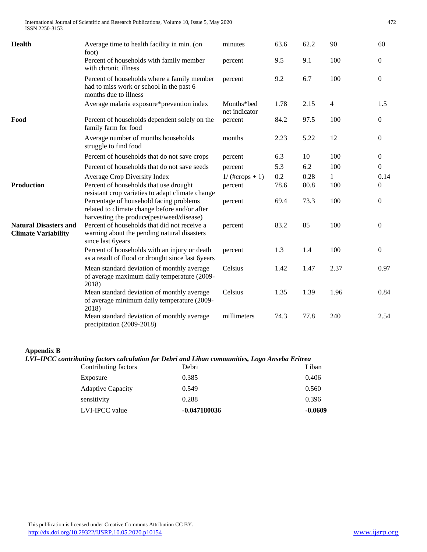International Journal of Scientific and Research Publications, Volume 10, Issue 5, May 2020 472 ISSN 2250-3153

| <b>Health</b>                                              | Average time to health facility in min. (on                                                                                           | minutes                     | 63.6 | 62.2 | 90             | 60               |
|------------------------------------------------------------|---------------------------------------------------------------------------------------------------------------------------------------|-----------------------------|------|------|----------------|------------------|
|                                                            | foot)<br>Percent of households with family member<br>with chronic illness                                                             | percent                     | 9.5  | 9.1  | 100            | $\boldsymbol{0}$ |
|                                                            | Percent of households where a family member<br>had to miss work or school in the past 6<br>months due to illness                      | percent                     | 9.2  | 6.7  | 100            | $\boldsymbol{0}$ |
|                                                            | Average malaria exposure*prevention index                                                                                             | Months*bed<br>net indicator | 1.78 | 2.15 | $\overline{4}$ | 1.5              |
| Food                                                       | Percent of households dependent solely on the<br>family farm for food                                                                 | percent                     | 84.2 | 97.5 | 100            | $\boldsymbol{0}$ |
|                                                            | Average number of months households<br>struggle to find food                                                                          | months                      | 2.23 | 5.22 | 12             | $\boldsymbol{0}$ |
|                                                            | Percent of households that do not save crops                                                                                          | percent                     | 6.3  | 10   | 100            | $\boldsymbol{0}$ |
|                                                            | Percent of households that do not save seeds                                                                                          | percent                     | 5.3  | 6.2  | 100            | $\boldsymbol{0}$ |
|                                                            | Average Crop Diversity Index                                                                                                          | $1/(#cross + 1)$            | 0.2  | 0.28 | $\mathbf{1}$   | 0.14             |
| <b>Production</b>                                          | Percent of households that use drought<br>resistant crop varieties to adapt climate change                                            | percent                     | 78.6 | 80.8 | 100            | $\boldsymbol{0}$ |
|                                                            | Percentage of household facing problems<br>related to climate change before and/or after<br>harvesting the produce(pest/weed/disease) | percent                     | 69.4 | 73.3 | 100            | $\boldsymbol{0}$ |
| <b>Natural Disasters and</b><br><b>Climate Variability</b> | Percent of households that did not receive a<br>warning about the pending natural disasters<br>since last 6years                      | percent                     | 83.2 | 85   | 100            | $\mathbf{0}$     |
|                                                            | Percent of households with an injury or death<br>as a result of flood or drought since last 6years                                    | percent                     | 1.3  | 1.4  | 100            | $\boldsymbol{0}$ |
|                                                            | Mean standard deviation of monthly average<br>of average maximum daily temperature (2009-<br>2018)                                    | Celsius                     | 1.42 | 1.47 | 2.37           | 0.97             |
|                                                            | Mean standard deviation of monthly average<br>of average minimum daily temperature (2009-<br>2018)                                    | Celsius                     | 1.35 | 1.39 | 1.96           | 0.84             |
|                                                            | Mean standard deviation of monthly average<br>precipitation (2009-2018)                                                               | millimeters                 | 74.3 | 77.8 | 240            | 2.54             |

## **Appendix B**

# *LVI–IPCC contributing factors calculation for Debri and Liban communities, Logo Anseba Eritrea*

| LVI-IPCC value           | $-0.047180036$ | $-0.0609$ |
|--------------------------|----------------|-----------|
| sensitivity              | 0.288          | 0.396     |
| <b>Adaptive Capacity</b> | 0.549          | 0.560     |
| Exposure                 | 0.385          | 0.406     |
| Contributing factors     | Debri          | Liban     |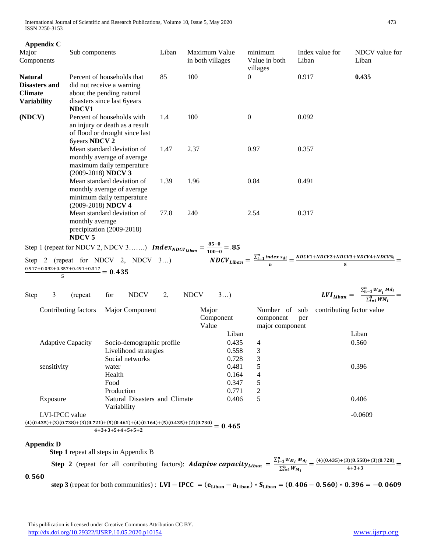International Journal of Scientific and Research Publications, Volume 10, Issue 5, May 2020 473 ISSN 2250-3153

| <b>Appendix C</b><br>Major<br>Components                                                                                | Sub components                                                                                                               |                                       |                                                                       | Liban |             | Maximum Value<br>in both villages |                                  | minimum<br>Value in both<br>villages          | Liban | Index value for | NDCV value for<br>Liban                                                                                                        |  |
|-------------------------------------------------------------------------------------------------------------------------|------------------------------------------------------------------------------------------------------------------------------|---------------------------------------|-----------------------------------------------------------------------|-------|-------------|-----------------------------------|----------------------------------|-----------------------------------------------|-------|-----------------|--------------------------------------------------------------------------------------------------------------------------------|--|
| <b>Natural</b><br><b>Disasters and</b><br><b>Climate</b><br><b>Variability</b>                                          | Percent of households that<br>did not receive a warning<br>about the pending natural<br>disasters since last 6years<br>NDCV1 |                                       |                                                                       | 85    | 100         |                                   |                                  | $\overline{0}$                                | 0.917 |                 | 0.435                                                                                                                          |  |
| (NDCV)                                                                                                                  | Percent of households with<br>an injury or death as a result<br>of flood or drought since last<br>6years NDCV 2              |                                       |                                                                       | 1.4   | 100         |                                   |                                  | $\boldsymbol{0}$                              | 0.092 |                 |                                                                                                                                |  |
|                                                                                                                         | Mean standard deviation of<br>monthly average of average<br>maximum daily temperature<br>(2009-2018) NDCV 3                  |                                       |                                                                       | 1.47  | 2.37        |                                   |                                  | 0.97                                          | 0.357 |                 |                                                                                                                                |  |
|                                                                                                                         | Mean standard deviation of<br>monthly average of average<br>minimum daily temperature<br>(2009-2018) NDCV 4                  |                                       |                                                                       | 1.39  | 1.96        |                                   |                                  | 0.84                                          | 0.491 |                 |                                                                                                                                |  |
|                                                                                                                         | Mean standard deviation of<br>monthly average<br>precipitation (2009-2018)<br><b>NDCV5</b>                                   |                                       |                                                                       | 77.8  | 240         |                                   |                                  | 2.54                                          | 0.317 |                 |                                                                                                                                |  |
| Step 1 (repeat for NDCV 2, NDCV 3) <b>Index</b> <sub>NDCV<sub>Liban</sub> = <math>\frac{85-0}{100-0}</math> = .85</sub> |                                                                                                                              |                                       |                                                                       |       |             |                                   |                                  |                                               |       |                 |                                                                                                                                |  |
| Step 2 (repeat for NDCV 2, NDCV 3)<br>0.917+0.092+0.357+0.491+0.317 = 0.435                                             |                                                                                                                              |                                       |                                                                       |       |             |                                   |                                  |                                               |       |                 | $\overbrace{NDCV_{Liban}}^{1000} = \frac{\sum_{i=1}^{n} index s_{di}}{n} = \frac{NDCV1 + NDCV2 + NDCV3 + NDCV4 + NDCV\%}{5} =$ |  |
| Step<br>3                                                                                                               | (repeat)                                                                                                                     | for                                   | <b>NDCV</b>                                                           | 2,    | <b>NDCV</b> | 3                                 |                                  |                                               |       |                 | $LVI_{Liban} = \frac{\sum_{n=1}^{n} W_{M_i} M d_i}{\sum_{i=1}^{8} W_{M_i}}$                                                    |  |
|                                                                                                                         | Contributing factors                                                                                                         |                                       | Major Component                                                       |       |             | Major<br>Component<br>Value       | Liban                            | Number of sub<br>component<br>major component | per   |                 | contributing factor value<br>Liban                                                                                             |  |
|                                                                                                                         | <b>Adaptive Capacity</b>                                                                                                     |                                       | Socio-demographic profile<br>Livelihood strategies<br>Social networks |       |             |                                   | 0.435<br>0.558<br>0.728          | 4<br>3<br>3                                   |       |                 | 0.560                                                                                                                          |  |
| sensitivity                                                                                                             |                                                                                                                              | water<br>Health<br>Food<br>Production |                                                                       |       |             |                                   | 0.481<br>0.164<br>0.347<br>0.771 | 5<br>4<br>5<br>2                              |       |                 | 0.396                                                                                                                          |  |
| Exposure                                                                                                                |                                                                                                                              | Variability                           | Natural Disasters and Climate                                         |       |             |                                   | 0.406                            | 5                                             |       |                 | 0.406                                                                                                                          |  |
| LVI-IPCC value<br>$(4)(0.435)+(3)(0.738)+(3)(0.721)+(5)(0.461)+(4)(0.164)+(5)(0.435)+(2)(0.730) = 0.465$                |                                                                                                                              |                                       |                                                                       |       |             |                                   |                                  |                                               |       |                 | $-0.0609$                                                                                                                      |  |
|                                                                                                                         |                                                                                                                              |                                       | $4+3+3+5+4+5+5+2$                                                     |       |             |                                   |                                  |                                               |       |                 |                                                                                                                                |  |
| <b>Appendix D</b>                                                                                                       |                                                                                                                              |                                       |                                                                       |       |             |                                   |                                  |                                               |       |                 |                                                                                                                                |  |

 **Step 1** repeat all steps in Appendix B

**Step 2** (repeat for all contributing factors): **Adapive capacity**<sub>Liban</sub> =  $\frac{\sum_{i=1}^{n} W_{M_i} M_d}{\sum_{i=1}^{n} W_{M_i}}$  $\sum_{i=1}^{n} W_{M_i} M_{d_i} = \frac{(4)(0.435) + (3)(0.558) + (3)(0.728)}{4+3+3}$  $\frac{4+3+3}{2} =$ 0.560

**step 3** (repeat for both communities) :  $LVI - IPCC = (e_{Liban} - a_{Liban}) * S_{Liban} = (0.406 - 0.560) * 0.396 = -0.0609$